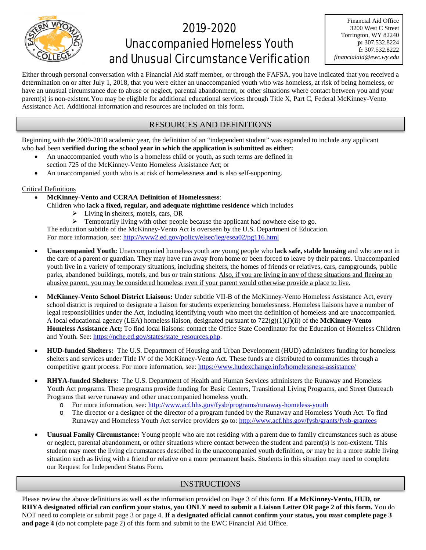

# 2019-2020 Unaccompanied Homeless Youth and Unusual Circumstance Verification

Either through personal conversation with a Financial Aid staff member, or through the FAFSA, you have indicated that you received a determination on or after July 1, 2018, that you were either an unaccompanied youth who was homeless, at risk of being homeless, or have an unusual circumstance due to abuse or neglect, parental abandonment, or other situations where contact between you and your parent(s) is non-existent.You may be eligible for additional educational services through Title X, Part C, Federal McKinney-Vento Assistance Act. Additional information and resources are included on this form.

### RESOURCES AND DEFINITIONS

Beginning with the 2009-2010 academic year, the definition of an "independent student" was expanded to include any applicant who had been **verified during the school year in which the application is submitted as either:**

- An unaccompanied youth who is a homeless child or youth, as such terms are defined in section 725 of the McKinney-Vento Homeless Assistance Act; or
- An unaccompanied youth who is at risk of homelessness **and** is also self-supporting.

#### Critical Definitions

- **McKinney-Vento and CCRAA Definition of Homelessness**:
	- Children who **lack a fixed, regular, and adequate nighttime residence** which includes
		- > Living in shelters, motels, cars, OR
		- $\triangleright$  Temporarily living with other people because the applicant had nowhere else to go.

The education subtitle of the McKinney-Vento Act is overseen by the U.S. Department of Education. For more information, see: http://www2.ed.gov/policy/elsec/leg/esea02/pg116.html

- **Unaccompanied Youth:** Unaccompanied homeless youth are young people who **lack safe, stable housing** and who are not in the care of a parent or guardian. They may have run away from home or been forced to leave by their parents. Unaccompanied youth live in a variety of temporary situations, including shelters, the homes of friends or relatives, cars, campgrounds, public parks, abandoned buildings, motels, and bus or train stations. Also, if you are living in any of these situations and fleeing an abusive parent, you may be considered homeless even if your parent would otherwise provide a place to live.
- **McKinney-Vento School District Liaisons:** Under subtitle VII-B of the McKinney-Vento Homeless Assistance Act, every school district is required to designate a liaison for students experiencing homelessness. Homeless liaisons have a number of legal responsibilities under the Act, including identifying youth who meet the definition of homeless and are unaccompanied. A local educational agency (LEA) homeless liaison, designated pursuant to 722(g)(1)(J)(ii) of the **McKinney-Vento Homeless Assistance Act;** To find local liaisons: contact the Office State Coordinator for the Education of Homeless Children and Youth. See: [https://nche.ed.gov/states/state\\_resources.php.](https://nche.ed.gov/states/state_resources.php)
- **HUD-funded Shelters:** The U.S. Department of Housing and Urban Development (HUD) administers funding for homeless shelters and services under Title IV of the McKinney-Vento Act. These funds are distributed to communities through a competitive grant process. For more information, see: https://www.hudexchange.info/homelessness-assistance/
- **RHYA-funded Shelters:** The U.S. Department of Health and Human Services administers the Runaway and Homeless Youth Act programs. These programs provide funding for Basic Centers, Transitional Living Programs, and Street Outreach Programs that serve runaway and other unaccompanied homeless youth.
	- o For more information, see:<http://www.acf.hhs.gov/fysb/programs/runaway-homeless-youth><br>The director or a designee of the director of a program funded by the Runaway and Homeles
	- The director or a designee of the director of a program funded by the Runaway and Homeless Youth Act. To find Runaway and Homeless Youth Act service providers go to[: http://www.acf.hhs.gov/fysb/grants/fysb-grantees](http://www.acf.hhs.gov/fysb/grants/fysb-grantees)
- **Unusual Family Circumstance:** Young people who are not residing with a parent due to family circumstances such as abuse or neglect, parental abandonment, or other situations where contact between the student and parent(s) is non-existent. This student may meet the living circumstances described in the unaccompanied youth definition, *or* may be in a more stable living situation such as living with a friend or relative on a more permanent basis. Students in this situation may need to complete our Request for Independent Status Form.

### INSTRUCTIONS

Please review the above definitions as well as the information provided on Page 3 of this form. **If a McKinney-Vento, HUD, or RHYA designated official can confirm your status, you ONLY need to submit a Liaison Letter OR page 2 of this form.** You do NOT need to complete or submit page 3 or page 4. **If a designated official cannot confirm your status, you** *must* **complete page 3 and page 4** (do not complete page 2) of this form and submit to the EWC Financial Aid Office.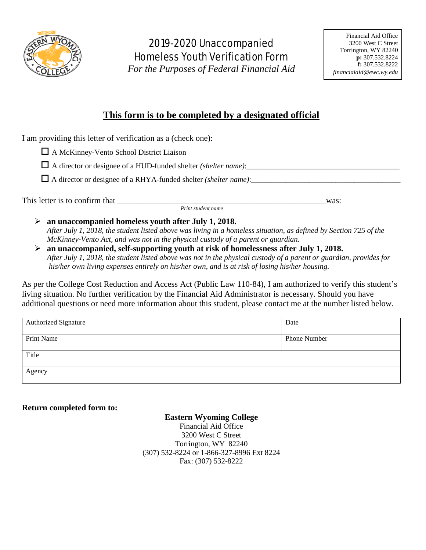

# 2019-2020 Unaccompanied Homeless Youth Verification Form

*For the Purposes of Federal Financial Aid*

# **This form is to be completed by a designated official**

I am providing this letter of verification as a (check one):

A McKinney-Vento School District Liaison

 $\Box$  A director or designee of a HUD-funded shelter *(shelter name)*:

 $\Box$  A director or designee of a RHYA-funded shelter *(shelter name)*:  $\Box$ 

This letter is to confirm that was:

 *Print student name*

- **an unaccompanied homeless youth after July 1, 2018.** *After July 1, 2018, the student listed above was living in a homeless situation, as defined by Section 725 of the*
- *McKinney-Vento Act, and was not in the physical custody of a parent or guardian.*  **an unaccompanied, self-supporting youth at risk of homelessness after July 1, 2018.**
	- *After July 1, 2018, the student listed above was not in the physical custody of a parent or guardian, provides for his/her own living expenses entirely on his/her own, and is at risk of losing his/her housing.*

As per the College Cost Reduction and Access Act (Public Law 110-84), I am authorized to verify this student's living situation. No further verification by the Financial Aid Administrator is necessary. Should you have additional questions or need more information about this student, please contact me at the number listed below.

| Authorized Signature | Date         |
|----------------------|--------------|
| Print Name           | Phone Number |
| Title                |              |
| Agency               |              |

## **Return completed form to:**

**Eastern Wyoming College**

Financial Aid Office 3200 West C Street Torrington, WY 82240 (307) 532-8224 or 1-866-327-8996 Ext 8224 Fax: (307) 532-8222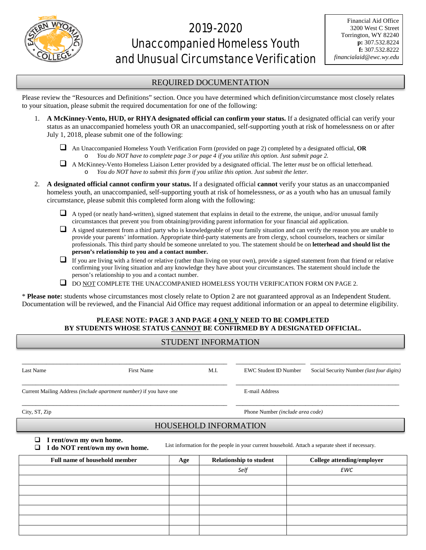

# 2019-2020 Unaccompanied Homeless Youth and Unusual Circumstance Verification

### REQUIRED DOCUMENTATION

Please review the "Resources and Definitions" section. Once you have determined which definition/circumstance most closely relates to your situation, please submit the required documentation for one of the following:

- 1. **A McKinney-Vento, HUD, or RHYA designated official can confirm your status.** If a designated official can verify your status as an unaccompanied homeless youth OR an unaccompanied, self-supporting youth at risk of homelessness on or after July 1, 2018, please submit one of the following:
	- An Unaccompanied Homeless Youth Verification Form (provided on page 2) completed by a designated official, **OR** o *You do NOT have to complete page 3 or page 4 if you utilize this option. Just submit page 2.*
	- A McKinney-Vento Homeless Liaison Letter provided by a designated official. The letter *must* be on official letterhead. You do NOT have to submit this form if you utilize this option. Just submit the letter.
- 2. **A designated official cannot confirm your status.** If a designated official **cannot** verify your status as an unaccompanied homeless youth, an unaccompanied, self-supporting youth at risk of homelessness, *or* as a youth who has an unusual family circumstance, please submit this completed form along with the following:
	- $\Box$  A typed (or neatly hand-written), signed statement that explains in detail to the extreme, the unique, and/or unusual family circumstances that prevent you from obtaining/providing parent information for your financial aid application.
	- $\Box$  A signed statement from a third party who is knowledgeable of your family situation and can verify the reason you are unable to provide your parents' information. Appropriate third-party statements are from clergy, school counselors, teachers or similar professionals. This third party should be someone unrelated to you. The statement should be on **letterhead and should list the person's relationship to you and a contact number.**
	- $\Box$  If you are living with a friend or relative (rather than living on your own), provide a signed statement from that friend or relative confirming your living situation and any knowledge they have about your circumstances. The statement should include the person's relationship to you and a contact number.
	- $\Box$  DO NOT COMPLETE THE UNACCOMPANIED HOMELESS YOUTH VERIFICATION FORM ON PAGE 2.

\* **Please note:** students whose circumstances most closely relate to Option 2 are not guaranteed approval as an Independent Student. Documentation will be reviewed, and the Financial Aid Office may request additional information or an appeal to determine eligibility.

### **PLEASE NOTE: PAGE 3 AND PAGE 4 ONLY NEED TO BE COMPLETED BY STUDENTS WHOSE STATUS CANNOT BE CONFIRMED BY A DESIGNATED OFFICIAL.**

| <b>STUDENT INFORMATION</b>                                                                                                                                              |     |                                  |                              |                                           |  |  |  |  |
|-------------------------------------------------------------------------------------------------------------------------------------------------------------------------|-----|----------------------------------|------------------------------|-------------------------------------------|--|--|--|--|
| M.I.<br>Last Name<br><b>First Name</b>                                                                                                                                  |     |                                  | <b>EWC Student ID Number</b> | Social Security Number (last four digits) |  |  |  |  |
| Current Mailing Address (include apartment number) if you have one                                                                                                      |     |                                  | E-mail Address               |                                           |  |  |  |  |
| City, ST, Zip                                                                                                                                                           |     | Phone Number (include area code) |                              |                                           |  |  |  |  |
| <b>HOUSEHOLD INFORMATION</b>                                                                                                                                            |     |                                  |                              |                                           |  |  |  |  |
| I rent/own my own home.<br>❏<br>List information for the people in your current household. Attach a separate sheet if necessary.<br>I do NOT rent/own my own home.<br>⊔ |     |                                  |                              |                                           |  |  |  |  |
| <b>Full name of household member</b>                                                                                                                                    | Age | <b>Relationship to student</b>   |                              | College attending/employer                |  |  |  |  |
|                                                                                                                                                                         |     | Self                             |                              | EWC                                       |  |  |  |  |
|                                                                                                                                                                         |     |                                  |                              |                                           |  |  |  |  |
|                                                                                                                                                                         |     |                                  |                              |                                           |  |  |  |  |
|                                                                                                                                                                         |     |                                  |                              |                                           |  |  |  |  |
|                                                                                                                                                                         |     |                                  |                              |                                           |  |  |  |  |
|                                                                                                                                                                         |     |                                  |                              |                                           |  |  |  |  |